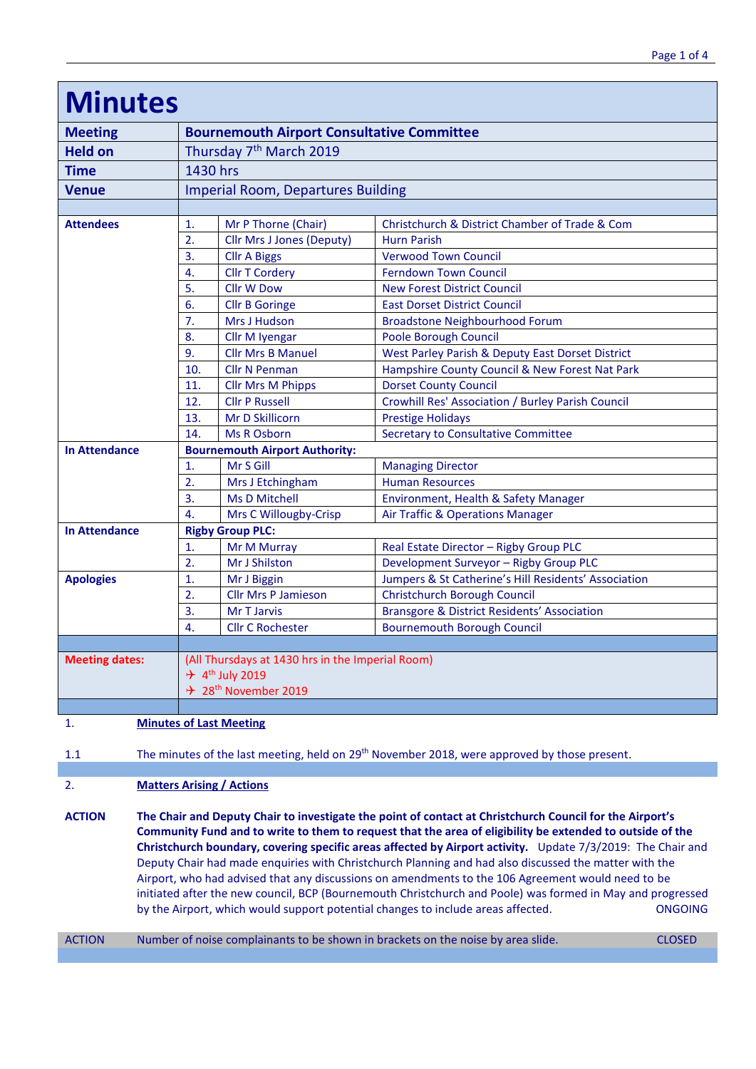| <b>Minutes</b>        |                                                   |                                  |                                                        |  |
|-----------------------|---------------------------------------------------|----------------------------------|--------------------------------------------------------|--|
| <b>Meeting</b>        | <b>Bournemouth Airport Consultative Committee</b> |                                  |                                                        |  |
| <b>Held on</b>        | Thursday 7 <sup>th</sup> March 2019               |                                  |                                                        |  |
| <b>Time</b>           | 1430 hrs                                          |                                  |                                                        |  |
| <b>Venue</b>          | <b>Imperial Room, Departures Building</b>         |                                  |                                                        |  |
|                       |                                                   |                                  |                                                        |  |
| <b>Attendees</b>      | 1.                                                | Mr P Thorne (Chair)              | Christchurch & District Chamber of Trade & Com         |  |
|                       | 2.                                                | <b>Cllr Mrs J Jones (Deputy)</b> | <b>Hurn Parish</b>                                     |  |
|                       | 3.                                                | <b>Cllr A Biggs</b>              | <b>Verwood Town Council</b>                            |  |
|                       | 4.                                                | <b>Cllr T Cordery</b>            | <b>Ferndown Town Council</b>                           |  |
|                       | 5.                                                | <b>Cllr W Dow</b>                | <b>New Forest District Council</b>                     |  |
|                       | 6.                                                | <b>Cllr B Goringe</b>            | <b>East Dorset District Council</b>                    |  |
|                       | 7.                                                | <b>Mrs J Hudson</b>              | <b>Broadstone Neighbourhood Forum</b>                  |  |
|                       | 8.                                                | Cllr M Iyengar                   | Poole Borough Council                                  |  |
|                       | 9.                                                | <b>Cllr Mrs B Manuel</b>         | West Parley Parish & Deputy East Dorset District       |  |
|                       | 10.                                               | <b>Cllr N Penman</b>             | Hampshire County Council & New Forest Nat Park         |  |
|                       | 11.                                               | <b>Cllr Mrs M Phipps</b>         | <b>Dorset County Council</b>                           |  |
|                       | 12.                                               | <b>Cllr P Russell</b>            | Crowhill Res' Association / Burley Parish Council      |  |
|                       | 13.                                               | Mr D Skillicorn                  | <b>Prestige Holidays</b>                               |  |
|                       | 14.                                               | <b>Ms R Osborn</b>               | <b>Secretary to Consultative Committee</b>             |  |
| <b>In Attendance</b>  | <b>Bournemouth Airport Authority:</b>             |                                  |                                                        |  |
|                       | 1.                                                | Mr S Gill                        | <b>Managing Director</b>                               |  |
|                       | 2.                                                | Mrs J Etchingham                 | <b>Human Resources</b>                                 |  |
|                       | 3.                                                | <b>Ms D Mitchell</b>             | Environment, Health & Safety Manager                   |  |
|                       | 4.                                                | Mrs C Willougby-Crisp            | Air Traffic & Operations Manager                       |  |
| <b>In Attendance</b>  | <b>Rigby Group PLC:</b>                           |                                  |                                                        |  |
|                       | 1.                                                | Mr M Murray                      | Real Estate Director - Rigby Group PLC                 |  |
|                       | $\overline{2}$ .                                  | Mr J Shilston                    | Development Surveyor - Rigby Group PLC                 |  |
| <b>Apologies</b>      | 1.                                                | Mr J Biggin                      | Jumpers & St Catherine's Hill Residents' Association   |  |
|                       | 2.                                                | <b>Cllr Mrs P Jamieson</b>       | Christchurch Borough Council                           |  |
|                       | 3.                                                | Mr T Jarvis                      | <b>Bransgore &amp; District Residents' Association</b> |  |
|                       | 4.                                                | <b>Cllr C Rochester</b>          | <b>Bournemouth Borough Council</b>                     |  |
|                       |                                                   |                                  |                                                        |  |
| <b>Meeting dates:</b> | (All Thursdays at 1430 hrs in the Imperial Room)  |                                  |                                                        |  |
|                       | $\div$ 4 <sup>th</sup> July 2019                  |                                  |                                                        |  |
|                       |                                                   | → 28 <sup>th</sup> November 2019 |                                                        |  |
|                       |                                                   |                                  |                                                        |  |

1. **Minutes of Last Meeting**

1.1 The minutes of the last meeting, held on 29<sup>th</sup> November 2018, were approved by those present.

# 2. **Matters Arising / Actions**

**ACTION The Chair and Deputy Chair to investigate the point of contact at Christchurch Council for the Airport's Community Fund and to write to them to request that the area of eligibility be extended to outside of the Christchurch boundary, covering specific areas affected by Airport activity.** Update 7/3/2019: The Chair and Deputy Chair had made enquiries with Christchurch Planning and had also discussed the matter with the Airport, who had advised that any discussions on amendments to the 106 Agreement would need to be initiated after the new council, BCP (Bournemouth Christchurch and Poole) was formed in May and progressed by the Airport, which would support potential changes to include areas affected. ONGOING

ACTION Number of noise complainants to be shown in brackets on the noise by area slide. CLOSED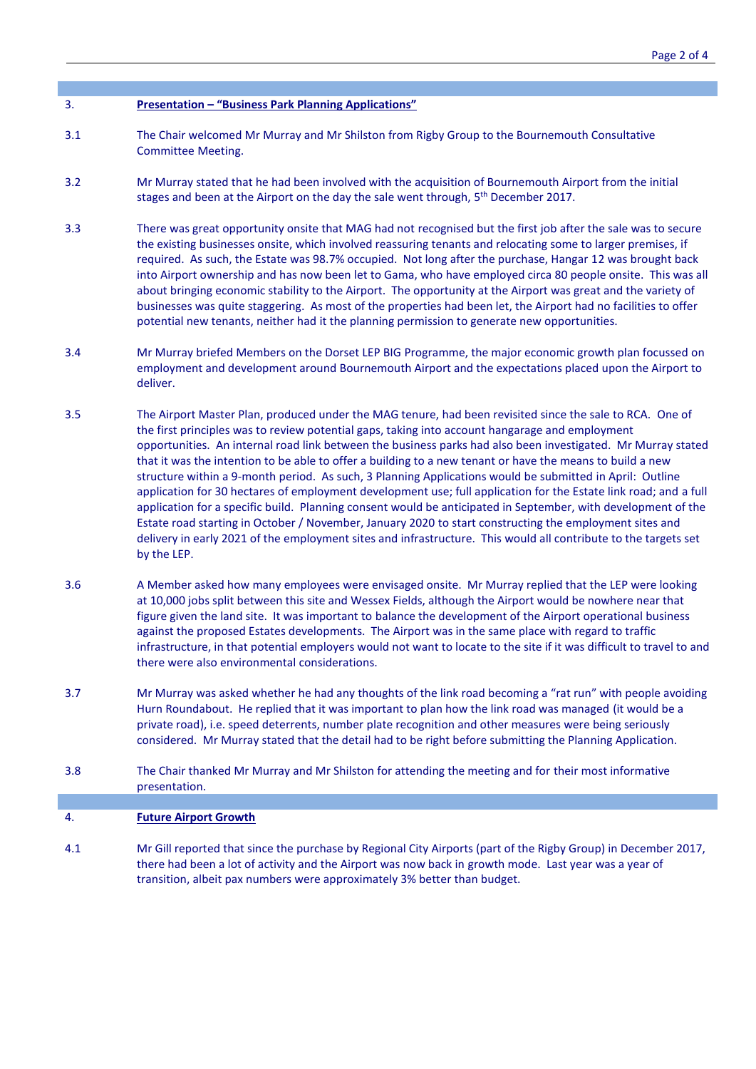## 3. **Presentation – "Business Park Planning Applications"**

- 3.1 The Chair welcomed Mr Murray and Mr Shilston from Rigby Group to the Bournemouth Consultative Committee Meeting.
- 3.2 Mr Murray stated that he had been involved with the acquisition of Bournemouth Airport from the initial stages and been at the Airport on the day the sale went through, 5<sup>th</sup> December 2017.
- 3.3 There was great opportunity onsite that MAG had not recognised but the first job after the sale was to secure the existing businesses onsite, which involved reassuring tenants and relocating some to larger premises, if required. As such, the Estate was 98.7% occupied. Not long after the purchase, Hangar 12 was brought back into Airport ownership and has now been let to Gama, who have employed circa 80 people onsite. This was all about bringing economic stability to the Airport. The opportunity at the Airport was great and the variety of businesses was quite staggering. As most of the properties had been let, the Airport had no facilities to offer potential new tenants, neither had it the planning permission to generate new opportunities.
- 3.4 Mr Murray briefed Members on the Dorset LEP BIG Programme, the major economic growth plan focussed on employment and development around Bournemouth Airport and the expectations placed upon the Airport to deliver.
- 3.5 The Airport Master Plan, produced under the MAG tenure, had been revisited since the sale to RCA. One of the first principles was to review potential gaps, taking into account hangarage and employment opportunities. An internal road link between the business parks had also been investigated. Mr Murray stated that it was the intention to be able to offer a building to a new tenant or have the means to build a new structure within a 9-month period. As such, 3 Planning Applications would be submitted in April: Outline application for 30 hectares of employment development use; full application for the Estate link road; and a full application for a specific build. Planning consent would be anticipated in September, with development of the Estate road starting in October / November, January 2020 to start constructing the employment sites and delivery in early 2021 of the employment sites and infrastructure. This would all contribute to the targets set by the LEP.
- 3.6 A Member asked how many employees were envisaged onsite. Mr Murray replied that the LEP were looking at 10,000 jobs split between this site and Wessex Fields, although the Airport would be nowhere near that figure given the land site. It was important to balance the development of the Airport operational business against the proposed Estates developments. The Airport was in the same place with regard to traffic infrastructure, in that potential employers would not want to locate to the site if it was difficult to travel to and there were also environmental considerations.
- 3.7 Mr Murray was asked whether he had any thoughts of the link road becoming a "rat run" with people avoiding Hurn Roundabout. He replied that it was important to plan how the link road was managed (it would be a private road), i.e. speed deterrents, number plate recognition and other measures were being seriously considered. Mr Murray stated that the detail had to be right before submitting the Planning Application.
- 3.8 The Chair thanked Mr Murray and Mr Shilston for attending the meeting and for their most informative presentation.

#### 4. **Future Airport Growth**

4.1 Mr Gill reported that since the purchase by Regional City Airports (part of the Rigby Group) in December 2017, there had been a lot of activity and the Airport was now back in growth mode. Last year was a year of transition, albeit pax numbers were approximately 3% better than budget.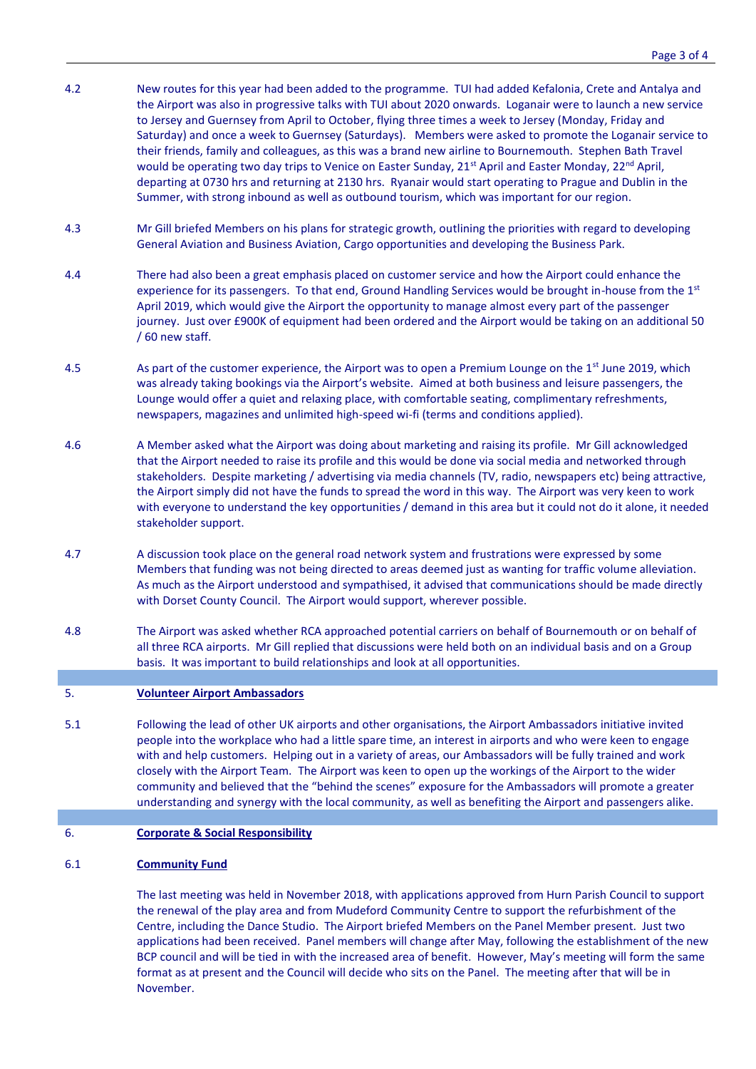- 4.2 New routes for this year had been added to the programme. TUI had added Kefalonia, Crete and Antalya and the Airport was also in progressive talks with TUI about 2020 onwards. Loganair were to launch a new service to Jersey and Guernsey from April to October, flying three times a week to Jersey (Monday, Friday and Saturday) and once a week to Guernsey (Saturdays). Members were asked to promote the Loganair service to their friends, family and colleagues, as this was a brand new airline to Bournemouth. Stephen Bath Travel would be operating two day trips to Venice on Easter Sunday, 21<sup>st</sup> April and Easter Monday, 22<sup>nd</sup> April, departing at 0730 hrs and returning at 2130 hrs. Ryanair would start operating to Prague and Dublin in the Summer, with strong inbound as well as outbound tourism, which was important for our region.
- 4.3 Mr Gill briefed Members on his plans for strategic growth, outlining the priorities with regard to developing General Aviation and Business Aviation, Cargo opportunities and developing the Business Park.
- 4.4 There had also been a great emphasis placed on customer service and how the Airport could enhance the experience for its passengers. To that end, Ground Handling Services would be brought in-house from the 1<sup>st</sup> April 2019, which would give the Airport the opportunity to manage almost every part of the passenger journey. Just over £900K of equipment had been ordered and the Airport would be taking on an additional 50 / 60 new staff.
- 4.5 As part of the customer experience, the Airport was to open a Premium Lounge on the 1<sup>st</sup> June 2019, which was already taking bookings via the Airport's website. Aimed at both business and leisure passengers, the Lounge would offer a quiet and relaxing place, with comfortable seating, complimentary refreshments, newspapers, magazines and unlimited high-speed wi-fi (terms and conditions applied).
- 4.6 A Member asked what the Airport was doing about marketing and raising its profile. Mr Gill acknowledged that the Airport needed to raise its profile and this would be done via social media and networked through stakeholders. Despite marketing / advertising via media channels (TV, radio, newspapers etc) being attractive, the Airport simply did not have the funds to spread the word in this way. The Airport was very keen to work with everyone to understand the key opportunities / demand in this area but it could not do it alone, it needed stakeholder support.
- 4.7 A discussion took place on the general road network system and frustrations were expressed by some Members that funding was not being directed to areas deemed just as wanting for traffic volume alleviation. As much as the Airport understood and sympathised, it advised that communications should be made directly with Dorset County Council. The Airport would support, wherever possible.
- 4.8 The Airport was asked whether RCA approached potential carriers on behalf of Bournemouth or on behalf of all three RCA airports. Mr Gill replied that discussions were held both on an individual basis and on a Group basis. It was important to build relationships and look at all opportunities.

## 5. **Volunteer Airport Ambassadors**

- 5.1 Following the lead of other UK airports and other organisations, the Airport Ambassadors initiative invited people into the workplace who had a little spare time, an interest in airports and who were keen to engage with and help customers. Helping out in a variety of areas, our Ambassadors will be fully trained and work closely with the Airport Team. The Airport was keen to open up the workings of the Airport to the wider community and believed that the "behind the scenes" exposure for the Ambassadors will promote a greater understanding and synergy with the local community, as well as benefiting the Airport and passengers alike.
- 6. **Corporate & Social Responsibility**

#### 6.1 **Community Fund**

The last meeting was held in November 2018, with applications approved from Hurn Parish Council to support the renewal of the play area and from Mudeford Community Centre to support the refurbishment of the Centre, including the Dance Studio. The Airport briefed Members on the Panel Member present. Just two applications had been received. Panel members will change after May, following the establishment of the new BCP council and will be tied in with the increased area of benefit. However, May's meeting will form the same format as at present and the Council will decide who sits on the Panel. The meeting after that will be in November.